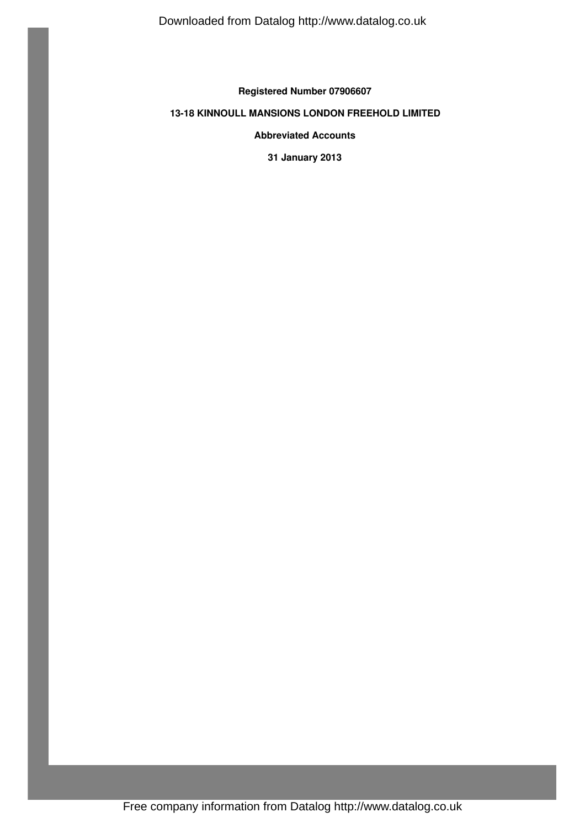**Registered Number 07906607**

# **13-18 KINNOULL MANSIONS LONDON FREEHOLD LIMITED**

**Abbreviated Accounts**

**31 January 2013**

Free company information from Datalog http://www.datalog.co.uk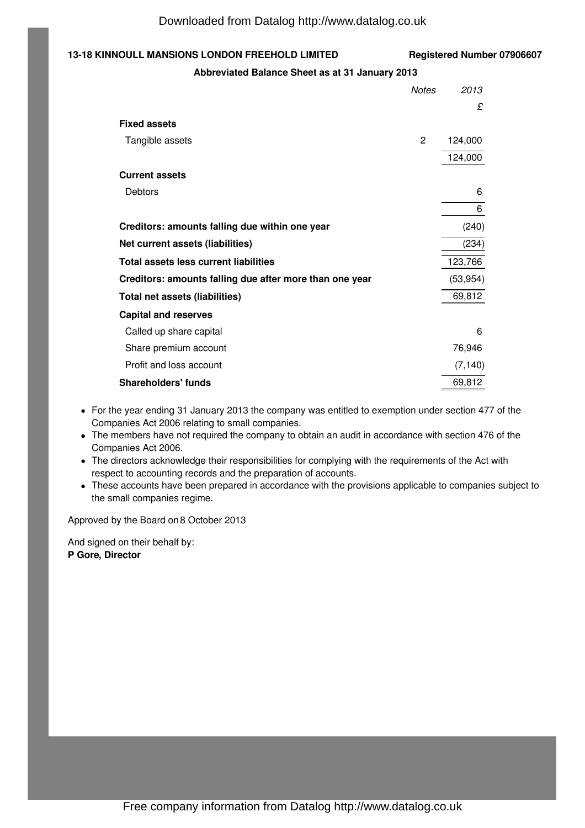### **13-18 KINNOULL MANSIONS LONDON FREEHOLD LIMITED Registered Number 07906607**

### **Abbreviated Balance Sheet as at 31 January 2013**

|                                                         | <b>Notes</b> | 2013      |
|---------------------------------------------------------|--------------|-----------|
|                                                         |              | £         |
| <b>Fixed assets</b>                                     |              |           |
| Tangible assets                                         | 2            | 124,000   |
|                                                         |              | 124,000   |
| <b>Current assets</b>                                   |              |           |
| Debtors                                                 |              | 6         |
|                                                         |              | 6         |
| Creditors: amounts falling due within one year          |              | (240)     |
| Net current assets (liabilities)                        |              | (234)     |
| Total assets less current liabilities                   |              | 123,766   |
| Creditors: amounts falling due after more than one year |              | (53, 954) |
| Total net assets (liabilities)                          |              | 69,812    |
| <b>Capital and reserves</b>                             |              |           |
| Called up share capital                                 |              | 6         |
| Share premium account                                   |              | 76,946    |
| Profit and loss account                                 |              | (7, 140)  |
| <b>Shareholders' funds</b>                              |              | 69,812    |

- For the year ending 31 January 2013 the company was entitled to exemption under section 477 of the Companies Act 2006 relating to small companies.
- The members have not required the company to obtain an audit in accordance with section 476 of the Companies Act 2006.
- The directors acknowledge their responsibilities for complying with the requirements of the Act with respect to accounting records and the preparation of accounts.
- These accounts have been prepared in accordance with the provisions applicable to companies subject to the small companies regime.

Approved by the Board on 8 October 2013

And signed on their behalf by: **P Gore, Director**